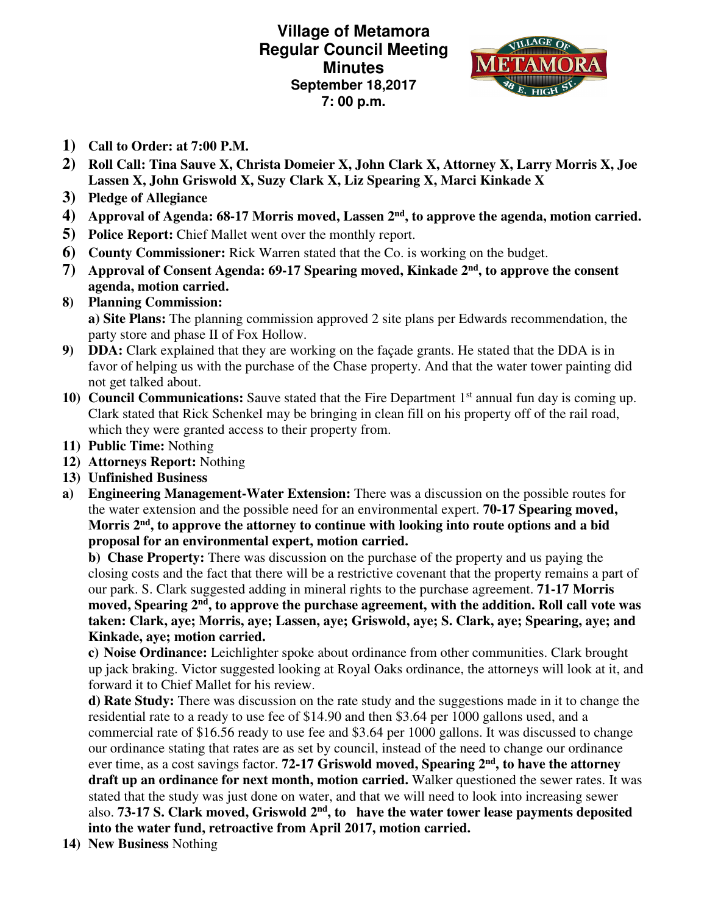**Village of Metamora Regular Council Meeting Minutes September 18,2017 7: 00 p.m.** 



- **1) Call to Order: at 7:00 P.M.**
- **2) Roll Call: Tina Sauve X, Christa Domeier X, John Clark X, Attorney X, Larry Morris X, Joe Lassen X, John Griswold X, Suzy Clark X, Liz Spearing X, Marci Kinkade X**
- **3) Pledge of Allegiance**
- **4) Approval of Agenda: 68-17 Morris moved, Lassen 2nd, to approve the agenda, motion carried.**
- **5) Police Report:** Chief Mallet went over the monthly report.
- **6) County Commissioner:** Rick Warren stated that the Co. is working on the budget.
- **7) Approval of Consent Agenda: 69-17 Spearing moved, Kinkade 2nd, to approve the consent agenda, motion carried.**
- **8) Planning Commission: a) Site Plans:** The planning commission approved 2 site plans per Edwards recommendation, the party store and phase II of Fox Hollow.
- **9) DDA:** Clark explained that they are working on the façade grants. He stated that the DDA is in favor of helping us with the purchase of the Chase property. And that the water tower painting did not get talked about.
- **10) Council Communications:** Sauve stated that the Fire Department 1<sup>st</sup> annual fun day is coming up. Clark stated that Rick Schenkel may be bringing in clean fill on his property off of the rail road, which they were granted access to their property from.
- **11) Public Time:** Nothing
- **12) Attorneys Report:** Nothing
- **13) Unfinished Business**
- **a) Engineering Management-Water Extension:** There was a discussion on the possible routes for the water extension and the possible need for an environmental expert. **70-17 Spearing moved, Morris 2nd, to approve the attorney to continue with looking into route options and a bid proposal for an environmental expert, motion carried.**

**b) Chase Property:** There was discussion on the purchase of the property and us paying the closing costs and the fact that there will be a restrictive covenant that the property remains a part of our park. S. Clark suggested adding in mineral rights to the purchase agreement. **71-17 Morris moved, Spearing 2nd, to approve the purchase agreement, with the addition. Roll call vote was taken: Clark, aye; Morris, aye; Lassen, aye; Griswold, aye; S. Clark, aye; Spearing, aye; and Kinkade, aye; motion carried.** 

**c) Noise Ordinance:** Leichlighter spoke about ordinance from other communities. Clark brought up jack braking. Victor suggested looking at Royal Oaks ordinance, the attorneys will look at it, and forward it to Chief Mallet for his review.

**d) Rate Study:** There was discussion on the rate study and the suggestions made in it to change the residential rate to a ready to use fee of \$14.90 and then \$3.64 per 1000 gallons used, and a commercial rate of \$16.56 ready to use fee and \$3.64 per 1000 gallons. It was discussed to change our ordinance stating that rates are as set by council, instead of the need to change our ordinance ever time, as a cost savings factor. **72-17 Griswold moved, Spearing 2nd, to have the attorney draft up an ordinance for next month, motion carried.** Walker questioned the sewer rates. It was stated that the study was just done on water, and that we will need to look into increasing sewer also. **73-17 S. Clark moved, Griswold 2nd, to have the water tower lease payments deposited into the water fund, retroactive from April 2017, motion carried.** 

**14) New Business** Nothing